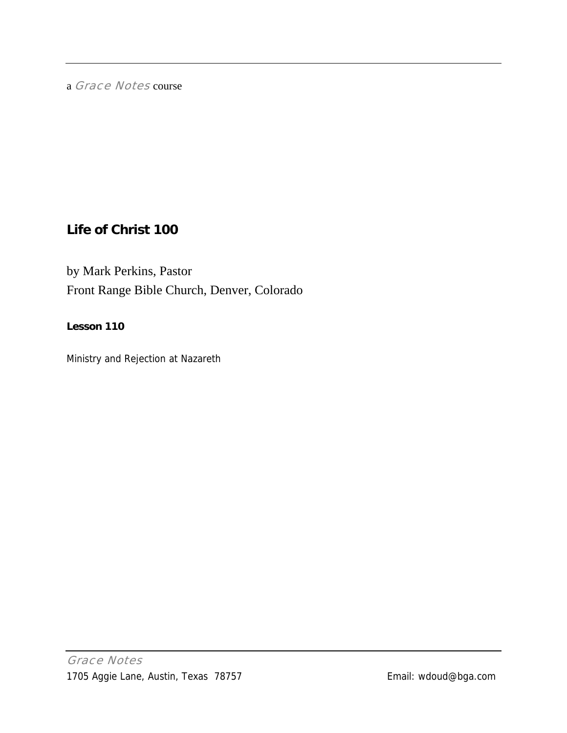a Grace Notes course

# **Life of Christ 100**

by Mark Perkins, Pastor Front Range Bible Church, Denver, Colorado

## **Lesson 110**

Ministry and Rejection at Nazareth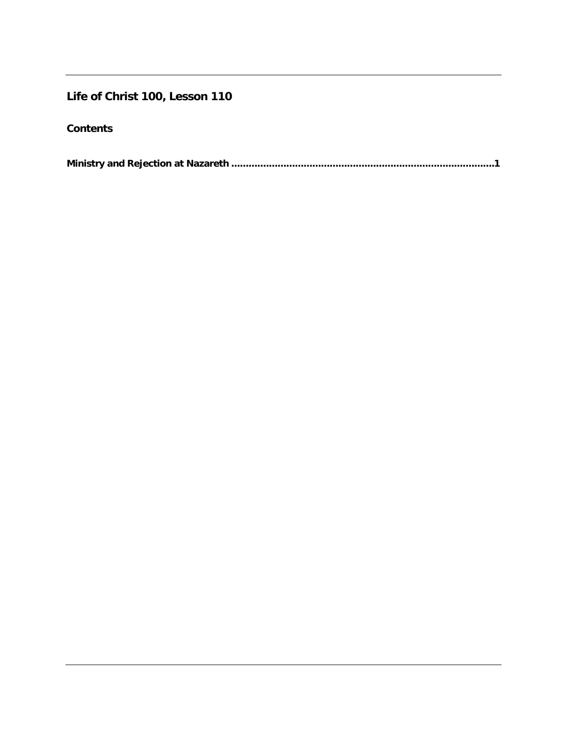## **Life of Christ 100, Lesson 110**

### **Contents**

|--|--|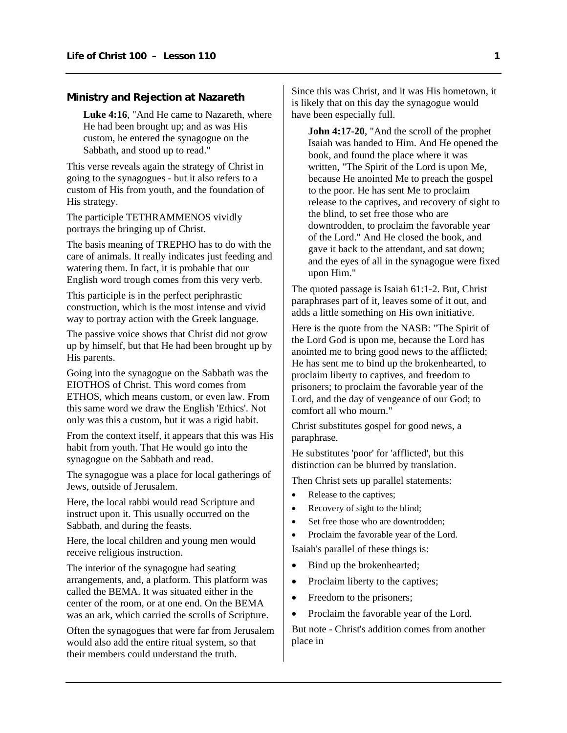#### <span id="page-2-0"></span>**Ministry and Rejection at Nazareth**

Luke 4:16, "And He came to Nazareth, where He had been brought up; and as was His custom, he entered the synagogue on the Sabbath, and stood up to read."

This verse reveals again the strategy of Christ in going to the synagogues - but it also refers to a custom of His from youth, and the foundation of His strategy.

The participle TETHRAMMENOS vividly portrays the bringing up of Christ.

The basis meaning of TREPHO has to do with the care of animals. It really indicates just feeding and watering them. In fact, it is probable that our English word trough comes from this very verb.

This participle is in the perfect periphrastic construction, which is the most intense and vivid way to portray action with the Greek language.

The passive voice shows that Christ did not grow up by himself, but that He had been brought up by His parents.

Going into the synagogue on the Sabbath was the EIOTHOS of Christ. This word comes from ETHOS, which means custom, or even law. From this same word we draw the English 'Ethics'. Not only was this a custom, but it was a rigid habit.

From the context itself, it appears that this was His habit from youth. That He would go into the synagogue on the Sabbath and read.

The synagogue was a place for local gatherings of Jews, outside of Jerusalem.

Here, the local rabbi would read Scripture and instruct upon it. This usually occurred on the Sabbath, and during the feasts.

Here, the local children and young men would receive religious instruction.

The interior of the synagogue had seating arrangements, and, a platform. This platform was called the BEMA. It was situated either in the center of the room, or at one end. On the BEMA was an ark, which carried the scrolls of Scripture.

Often the synagogues that were far from Jerusalem would also add the entire ritual system, so that their members could understand the truth.

Since this was Christ, and it was His hometown, it is likely that on this day the synagogue would have been especially full.

**John 4:17-20**, "And the scroll of the prophet Isaiah was handed to Him. And He opened the book, and found the place where it was written, "The Spirit of the Lord is upon Me, because He anointed Me to preach the gospel to the poor. He has sent Me to proclaim release to the captives, and recovery of sight to the blind, to set free those who are downtrodden, to proclaim the favorable year of the Lord." And He closed the book, and gave it back to the attendant, and sat down; and the eyes of all in the synagogue were fixed upon Him."

The quoted passage is Isaiah 61:1-2. But, Christ paraphrases part of it, leaves some of it out, and adds a little something on His own initiative.

Here is the quote from the NASB: "The Spirit of the Lord God is upon me, because the Lord has anointed me to bring good news to the afflicted; He has sent me to bind up the brokenhearted, to proclaim liberty to captives, and freedom to prisoners; to proclaim the favorable year of the Lord, and the day of vengeance of our God; to comfort all who mourn."

Christ substitutes gospel for good news, a paraphrase.

He substitutes 'poor' for 'afflicted', but this distinction can be blurred by translation.

Then Christ sets up parallel statements:

- Release to the captives;
- Recovery of sight to the blind;
- Set free those who are downtrodden:
- Proclaim the favorable year of the Lord.

Isaiah's parallel of these things is:

- Bind up the brokenhearted;
- Proclaim liberty to the captives;
- Freedom to the prisoners;
- Proclaim the favorable year of the Lord.

But note - Christ's addition comes from another place in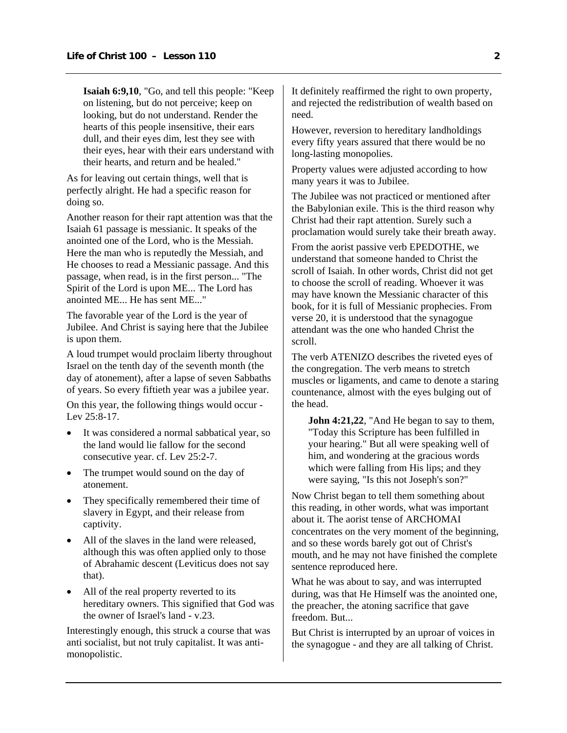**Isaiah 6:9,10**, "Go, and tell this people: "Keep on listening, but do not perceive; keep on looking, but do not understand. Render the hearts of this people insensitive, their ears dull, and their eyes dim, lest they see with their eyes, hear with their ears understand with their hearts, and return and be healed."

As for leaving out certain things, well that is perfectly alright. He had a specific reason for doing so.

Another reason for their rapt attention was that the Isaiah 61 passage is messianic. It speaks of the anointed one of the Lord, who is the Messiah. Here the man who is reputedly the Messiah, and He chooses to read a Messianic passage. And this passage, when read, is in the first person... "The Spirit of the Lord is upon ME... The Lord has anointed ME... He has sent ME..."

The favorable year of the Lord is the year of Jubilee. And Christ is saying here that the Jubilee is upon them.

A loud trumpet would proclaim liberty throughout Israel on the tenth day of the seventh month (the day of atonement), after a lapse of seven Sabbaths of years. So every fiftieth year was a jubilee year.

On this year, the following things would occur - Lev 25:8-17.

- It was considered a normal sabbatical year, so the land would lie fallow for the second consecutive year. cf. Lev 25:2-7.
- The trumpet would sound on the day of atonement.
- They specifically remembered their time of slavery in Egypt, and their release from captivity.
- All of the slaves in the land were released, although this was often applied only to those of Abrahamic descent (Leviticus does not say that).
- All of the real property reverted to its hereditary owners. This signified that God was the owner of Israel's land - v.23.

Interestingly enough, this struck a course that was anti socialist, but not truly capitalist. It was antimonopolistic.

It definitely reaffirmed the right to own property, and rejected the redistribution of wealth based on need.

However, reversion to hereditary landholdings every fifty years assured that there would be no long-lasting monopolies.

Property values were adjusted according to how many years it was to Jubilee.

The Jubilee was not practiced or mentioned after the Babylonian exile. This is the third reason why Christ had their rapt attention. Surely such a proclamation would surely take their breath away.

From the aorist passive verb EPEDOTHE, we understand that someone handed to Christ the scroll of Isaiah. In other words, Christ did not get to choose the scroll of reading. Whoever it was may have known the Messianic character of this book, for it is full of Messianic prophecies. From verse 20, it is understood that the synagogue attendant was the one who handed Christ the scroll.

The verb ATENIZO describes the riveted eyes of the congregation. The verb means to stretch muscles or ligaments, and came to denote a staring countenance, almost with the eyes bulging out of the head.

**John 4:21,22**, "And He began to say to them, "Today this Scripture has been fulfilled in your hearing." But all were speaking well of him, and wondering at the gracious words which were falling from His lips; and they were saying, "Is this not Joseph's son?"

Now Christ began to tell them something about this reading, in other words, what was important about it. The aorist tense of ARCHOMAI concentrates on the very moment of the beginning, and so these words barely got out of Christ's mouth, and he may not have finished the complete sentence reproduced here.

What he was about to say, and was interrupted during, was that He Himself was the anointed one. the preacher, the atoning sacrifice that gave freedom. But...

But Christ is interrupted by an uproar of voices in the synagogue - and they are all talking of Christ.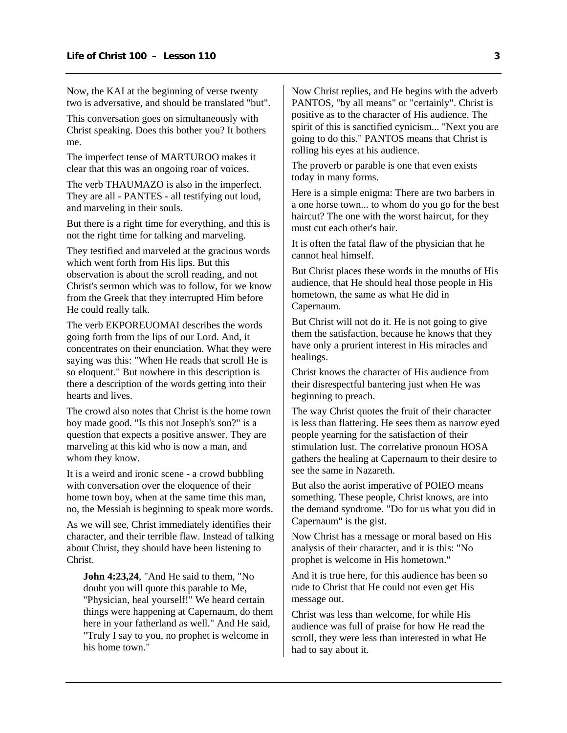Now, the KAI at the beginning of verse twenty two is adversative, and should be translated "but".

This conversation goes on simultaneously with Christ speaking. Does this bother you? It bothers me.

The imperfect tense of MARTUROO makes it clear that this was an ongoing roar of voices.

The verb THAUMAZO is also in the imperfect. They are all - PANTES - all testifying out loud, and marveling in their souls.

But there is a right time for everything, and this is not the right time for talking and marveling.

They testified and marveled at the gracious words which went forth from His lips. But this observation is about the scroll reading, and not Christ's sermon which was to follow, for we know from the Greek that they interrupted Him before He could really talk.

The verb EKPOREUOMAI describes the words going forth from the lips of our Lord. And, it concentrates on their enunciation. What they were saying was this: "When He reads that scroll He is so eloquent." But nowhere in this description is there a description of the words getting into their hearts and lives.

The crowd also notes that Christ is the home town boy made good. "Is this not Joseph's son?" is a question that expects a positive answer. They are marveling at this kid who is now a man, and whom they know.

It is a weird and ironic scene - a crowd bubbling with conversation over the eloquence of their home town boy, when at the same time this man, no, the Messiah is beginning to speak more words.

As we will see, Christ immediately identifies their character, and their terrible flaw. Instead of talking about Christ, they should have been listening to Christ.

**John 4:23,24**, "And He said to them, "No doubt you will quote this parable to Me, "Physician, heal yourself!" We heard certain things were happening at Capernaum, do them here in your fatherland as well." And He said, "Truly I say to you, no prophet is welcome in his home town."

Now Christ replies, and He begins with the adverb PANTOS, "by all means" or "certainly". Christ is positive as to the character of His audience. The spirit of this is sanctified cynicism... "Next you are going to do this." PANTOS means that Christ is rolling his eyes at his audience.

The proverb or parable is one that even exists today in many forms.

Here is a simple enigma: There are two barbers in a one horse town... to whom do you go for the best haircut? The one with the worst haircut, for they must cut each other's hair.

It is often the fatal flaw of the physician that he cannot heal himself.

But Christ places these words in the mouths of His audience, that He should heal those people in His hometown, the same as what He did in Capernaum.

But Christ will not do it. He is not going to give them the satisfaction, because he knows that they have only a prurient interest in His miracles and healings.

Christ knows the character of His audience from their disrespectful bantering just when He was beginning to preach.

The way Christ quotes the fruit of their character is less than flattering. He sees them as narrow eyed people yearning for the satisfaction of their stimulation lust. The correlative pronoun HOSA gathers the healing at Capernaum to their desire to see the same in Nazareth.

But also the aorist imperative of POIEO means something. These people, Christ knows, are into the demand syndrome. "Do for us what you did in Capernaum" is the gist.

Now Christ has a message or moral based on His analysis of their character, and it is this: "No prophet is welcome in His hometown."

And it is true here, for this audience has been so rude to Christ that He could not even get His message out.

Christ was less than welcome, for while His audience was full of praise for how He read the scroll, they were less than interested in what He had to say about it.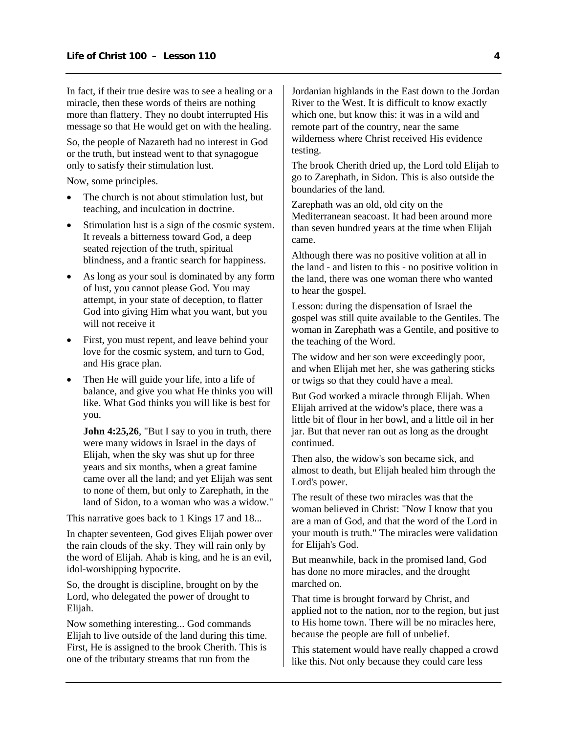In fact, if their true desire was to see a healing or a miracle, then these words of theirs are nothing more than flattery. They no doubt interrupted His message so that He would get on with the healing.

So, the people of Nazareth had no interest in God or the truth, but instead went to that synagogue only to satisfy their stimulation lust.

Now, some principles.

- The church is not about stimulation lust, but teaching, and inculcation in doctrine.
- Stimulation lust is a sign of the cosmic system. It reveals a bitterness toward God, a deep seated rejection of the truth, spiritual blindness, and a frantic search for happiness.
- As long as your soul is dominated by any form of lust, you cannot please God. You may attempt, in your state of deception, to flatter God into giving Him what you want, but you will not receive it
- First, you must repent, and leave behind your love for the cosmic system, and turn to God, and His grace plan.
- Then He will guide your life, into a life of balance, and give you what He thinks you will like. What God thinks you will like is best for you.

**John 4:25,26**, "But I say to you in truth, there were many widows in Israel in the days of Elijah, when the sky was shut up for three years and six months, when a great famine came over all the land; and yet Elijah was sent to none of them, but only to Zarephath, in the land of Sidon, to a woman who was a widow."

This narrative goes back to 1 Kings 17 and 18...

In chapter seventeen, God gives Elijah power over the rain clouds of the sky. They will rain only by the word of Elijah. Ahab is king, and he is an evil, idol-worshipping hypocrite.

So, the drought is discipline, brought on by the Lord, who delegated the power of drought to Elijah.

Now something interesting... God commands Elijah to live outside of the land during this time. First, He is assigned to the brook Cherith. This is one of the tributary streams that run from the

Jordanian highlands in the East down to the Jordan River to the West. It is difficult to know exactly which one, but know this: it was in a wild and remote part of the country, near the same wilderness where Christ received His evidence testing.

The brook Cherith dried up, the Lord told Elijah to go to Zarephath, in Sidon. This is also outside the boundaries of the land.

Zarephath was an old, old city on the Mediterranean seacoast. It had been around more than seven hundred years at the time when Elijah came.

Although there was no positive volition at all in the land - and listen to this - no positive volition in the land, there was one woman there who wanted to hear the gospel.

Lesson: during the dispensation of Israel the gospel was still quite available to the Gentiles. The woman in Zarephath was a Gentile, and positive to the teaching of the Word.

The widow and her son were exceedingly poor, and when Elijah met her, she was gathering sticks or twigs so that they could have a meal.

But God worked a miracle through Elijah. When Elijah arrived at the widow's place, there was a little bit of flour in her bowl, and a little oil in her jar. But that never ran out as long as the drought continued.

Then also, the widow's son became sick, and almost to death, but Elijah healed him through the Lord's power.

The result of these two miracles was that the woman believed in Christ: "Now I know that you are a man of God, and that the word of the Lord in your mouth is truth." The miracles were validation for Elijah's God.

But meanwhile, back in the promised land, God has done no more miracles, and the drought marched on.

That time is brought forward by Christ, and applied not to the nation, nor to the region, but just to His home town. There will be no miracles here, because the people are full of unbelief.

This statement would have really chapped a crowd like this. Not only because they could care less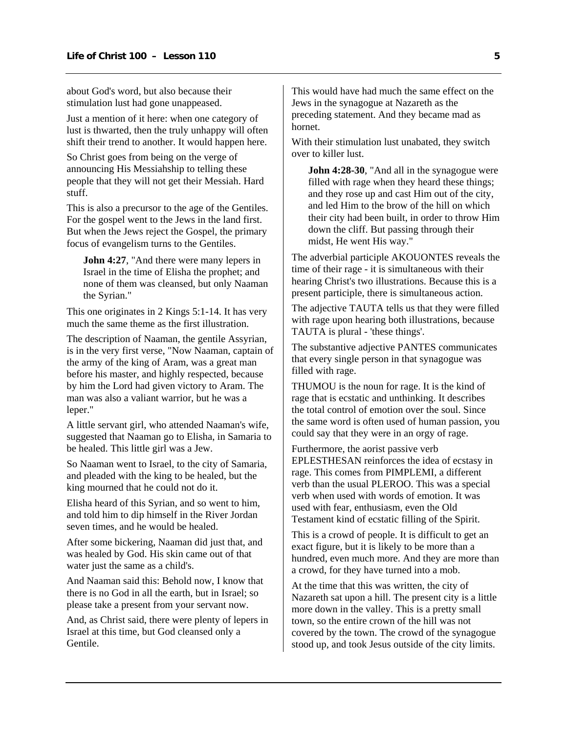about God's word, but also because their stimulation lust had gone unappeased.

Just a mention of it here: when one category of lust is thwarted, then the truly unhappy will often shift their trend to another. It would happen here.

So Christ goes from being on the verge of announcing His Messiahship to telling these people that they will not get their Messiah. Hard stuff.

This is also a precursor to the age of the Gentiles. For the gospel went to the Jews in the land first. But when the Jews reject the Gospel, the primary focus of evangelism turns to the Gentiles.

**John 4:27**, "And there were many lepers in Israel in the time of Elisha the prophet; and none of them was cleansed, but only Naaman the Syrian."

This one originates in 2 Kings 5:1-14. It has very much the same theme as the first illustration.

The description of Naaman, the gentile Assyrian, is in the very first verse, "Now Naaman, captain of the army of the king of Aram, was a great man before his master, and highly respected, because by him the Lord had given victory to Aram. The man was also a valiant warrior, but he was a leper."

A little servant girl, who attended Naaman's wife, suggested that Naaman go to Elisha, in Samaria to be healed. This little girl was a Jew.

So Naaman went to Israel, to the city of Samaria, and pleaded with the king to be healed, but the king mourned that he could not do it.

Elisha heard of this Syrian, and so went to him, and told him to dip himself in the River Jordan seven times, and he would be healed.

After some bickering, Naaman did just that, and was healed by God. His skin came out of that water just the same as a child's.

And Naaman said this: Behold now, I know that there is no God in all the earth, but in Israel; so please take a present from your servant now.

And, as Christ said, there were plenty of lepers in Israel at this time, but God cleansed only a Gentile.

This would have had much the same effect on the Jews in the synagogue at Nazareth as the preceding statement. And they became mad as hornet.

With their stimulation lust unabated, they switch over to killer lust.

**John 4:28-30**, "And all in the synagogue were filled with rage when they heard these things; and they rose up and cast Him out of the city, and led Him to the brow of the hill on which their city had been built, in order to throw Him down the cliff. But passing through their midst, He went His way."

The adverbial participle AKOUONTES reveals the time of their rage - it is simultaneous with their hearing Christ's two illustrations. Because this is a present participle, there is simultaneous action.

The adjective TAUTA tells us that they were filled with rage upon hearing both illustrations, because TAUTA is plural - 'these things'.

The substantive adjective PANTES communicates that every single person in that synagogue was filled with rage.

THUMOU is the noun for rage. It is the kind of rage that is ecstatic and unthinking. It describes the total control of emotion over the soul. Since the same word is often used of human passion, you could say that they were in an orgy of rage.

Furthermore, the aorist passive verb EPLESTHESAN reinforces the idea of ecstasy in rage. This comes from PIMPLEMI, a different verb than the usual PLEROO. This was a special verb when used with words of emotion. It was used with fear, enthusiasm, even the Old Testament kind of ecstatic filling of the Spirit.

This is a crowd of people. It is difficult to get an exact figure, but it is likely to be more than a hundred, even much more. And they are more than a crowd, for they have turned into a mob.

At the time that this was written, the city of Nazareth sat upon a hill. The present city is a little more down in the valley. This is a pretty small town, so the entire crown of the hill was not covered by the town. The crowd of the synagogue stood up, and took Jesus outside of the city limits.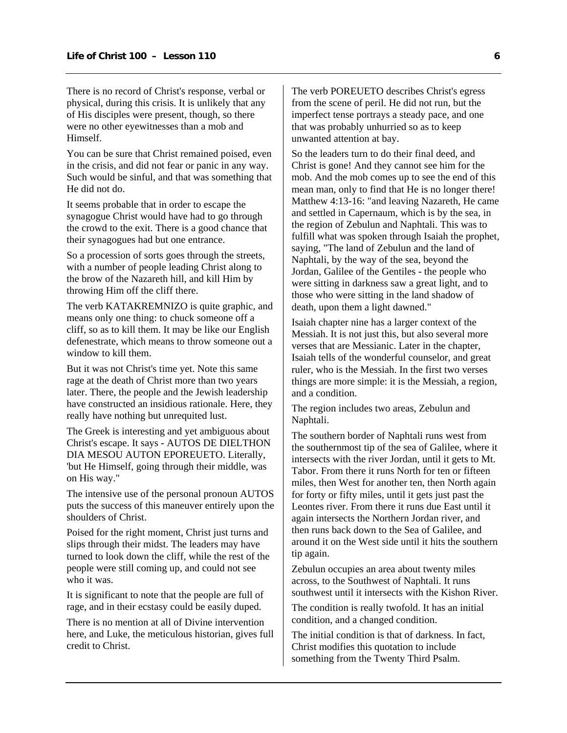There is no record of Christ's response, verbal or physical, during this crisis. It is unlikely that any of His disciples were present, though, so there were no other eyewitnesses than a mob and Himself.

You can be sure that Christ remained poised, even in the crisis, and did not fear or panic in any way. Such would be sinful, and that was something that He did not do.

It seems probable that in order to escape the synagogue Christ would have had to go through the crowd to the exit. There is a good chance that their synagogues had but one entrance.

So a procession of sorts goes through the streets, with a number of people leading Christ along to the brow of the Nazareth hill, and kill Him by throwing Him off the cliff there.

The verb KATAKREMNIZO is quite graphic, and means only one thing: to chuck someone off a cliff, so as to kill them. It may be like our English defenestrate, which means to throw someone out a window to kill them.

But it was not Christ's time yet. Note this same rage at the death of Christ more than two years later. There, the people and the Jewish leadership have constructed an insidious rationale. Here, they really have nothing but unrequited lust.

The Greek is interesting and yet ambiguous about Christ's escape. It says - AUTOS DE DIELTHON DIA MESOU AUTON EPOREUETO. Literally, 'but He Himself, going through their middle, was on His way."

The intensive use of the personal pronoun AUTOS puts the success of this maneuver entirely upon the shoulders of Christ.

Poised for the right moment, Christ just turns and slips through their midst. The leaders may have turned to look down the cliff, while the rest of the people were still coming up, and could not see who it was.

It is significant to note that the people are full of rage, and in their ecstasy could be easily duped.

There is no mention at all of Divine intervention here, and Luke, the meticulous historian, gives full credit to Christ.

The verb POREUETO describes Christ's egress from the scene of peril. He did not run, but the imperfect tense portrays a steady pace, and one that was probably unhurried so as to keep unwanted attention at bay.

So the leaders turn to do their final deed, and Christ is gone! And they cannot see him for the mob. And the mob comes up to see the end of this mean man, only to find that He is no longer there! Matthew 4:13-16: "and leaving Nazareth, He came and settled in Capernaum, which is by the sea, in the region of Zebulun and Naphtali. This was to fulfill what was spoken through Isaiah the prophet, saying, "The land of Zebulun and the land of Naphtali, by the way of the sea, beyond the Jordan, Galilee of the Gentiles - the people who were sitting in darkness saw a great light, and to those who were sitting in the land shadow of death, upon them a light dawned."

Isaiah chapter nine has a larger context of the Messiah. It is not just this, but also several more verses that are Messianic. Later in the chapter, Isaiah tells of the wonderful counselor, and great ruler, who is the Messiah. In the first two verses things are more simple: it is the Messiah, a region, and a condition.

The region includes two areas, Zebulun and Naphtali.

The southern border of Naphtali runs west from the southernmost tip of the sea of Galilee, where it intersects with the river Jordan, until it gets to Mt. Tabor. From there it runs North for ten or fifteen miles, then West for another ten, then North again for forty or fifty miles, until it gets just past the Leontes river. From there it runs due East until it again intersects the Northern Jordan river, and then runs back down to the Sea of Galilee, and around it on the West side until it hits the southern tip again.

Zebulun occupies an area about twenty miles across, to the Southwest of Naphtali. It runs southwest until it intersects with the Kishon River.

The condition is really twofold. It has an initial condition, and a changed condition.

The initial condition is that of darkness. In fact, Christ modifies this quotation to include something from the Twenty Third Psalm.